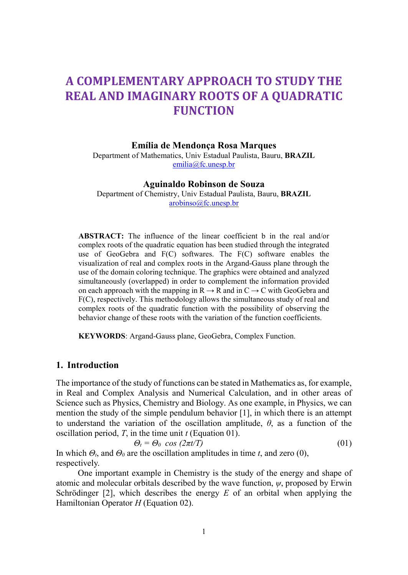# A COMPLEMENTARY APPROACH TO STUDY THE REAL AND IMAGINARY ROOTS OF A QUADRATIC **FUNCTION**

#### Emília de Mendonça Rosa Marques

Department of Mathematics, Univ Estadual Paulista, Bauru, BRAZIL emilia@fc.unesp.br

#### Aguinaldo Robinson de Souza

Department of Chemistry, Univ Estadual Paulista, Bauru, BRAZIL arobinso@fc.unesp.br

ABSTRACT: The influence of the linear coefficient b in the real and/or complex roots of the quadratic equation has been studied through the integrated use of GeoGebra and F(C) softwares. The F(C) software enables the visualization of real and complex roots in the Argand-Gauss plane through the use of the domain coloring technique. The graphics were obtained and analyzed simultaneously (overlapped) in order to complement the information provided on each approach with the mapping in  $R \to R$  and in  $C \to C$  with GeoGebra and F(C), respectively. This methodology allows the simultaneous study of real and complex roots of the quadratic function with the possibility of observing the behavior change of these roots with the variation of the function coefficients.

KEYWORDS: Argand-Gauss plane, GeoGebra, Complex Function.

# 1. Introduction

The importance of the study of functions can be stated in Mathematics as, for example, in Real and Complex Analysis and Numerical Calculation, and in other areas of Science such as Physics, Chemistry and Biology. As one example, in Physics, we can mention the study of the simple pendulum behavior [1], in which there is an attempt to understand the variation of the oscillation amplitude,  $\theta$ , as a function of the oscillation period,  $T$ , in the time unit  $t$  (Equation 01).

$$
\Theta_t = \Theta_0 \cos(2\pi t/T) \tag{01}
$$

In which  $\Theta_t$ , and  $\Theta_0$  are the oscillation amplitudes in time t, and zero (0), respectively.

 One important example in Chemistry is the study of the energy and shape of atomic and molecular orbitals described by the wave function,  $\psi$ , proposed by Erwin Schrödinger  $[2]$ , which describes the energy E of an orbital when applying the Hamiltonian Operator  $H$  (Equation 02).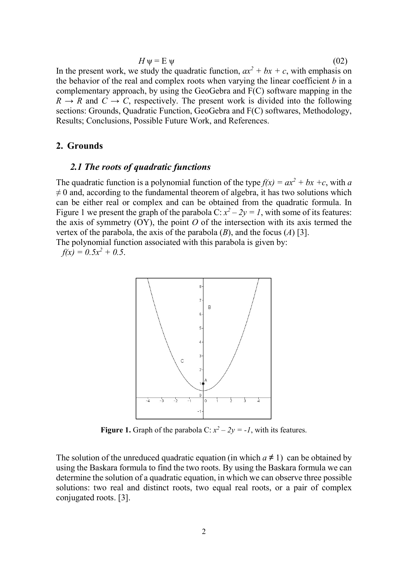$$
H \psi = \mathcal{E} \psi \tag{02}
$$

In the present work, we study the quadratic function,  $ax^2 + bx + c$ , with emphasis on the behavior of the real and complex roots when varying the linear coefficient  $b$  in a complementary approach, by using the GeoGebra and F(C) software mapping in the  $R \rightarrow R$  and  $C \rightarrow C$ , respectively. The present work is divided into the following sections: Grounds, Quadratic Function, GeoGebra and F(C) softwares, Methodology, Results; Conclusions, Possible Future Work, and References.

## 2. Grounds

### 2.1 The roots of quadratic functions

The quadratic function is a polynomial function of the type  $f(x) = ax^2 + bx + c$ , with a  $\neq 0$  and, according to the fundamental theorem of algebra, it has two solutions which can be either real or complex and can be obtained from the quadratic formula. In Figure 1 we present the graph of the parabola C:  $x^2 - 2y = 1$ , with some of its features: the axis of symmetry  $(OY)$ , the point O of the intersection with its axis termed the vertex of the parabola, the axis of the parabola  $(B)$ , and the focus  $(A)$  [3].

The polynomial function associated with this parabola is given by:

 $f(x) = 0.5x^2 + 0.5$ .



**Figure 1.** Graph of the parabola C:  $x^2 - 2y = -1$ , with its features.

The solution of the unreduced quadratic equation (in which  $a \neq 1$ ) can be obtained by using the Baskara formula to find the two roots. By using the Baskara formula we can determine the solution of a quadratic equation, in which we can observe three possible solutions: two real and distinct roots, two equal real roots, or a pair of complex conjugated roots. [3].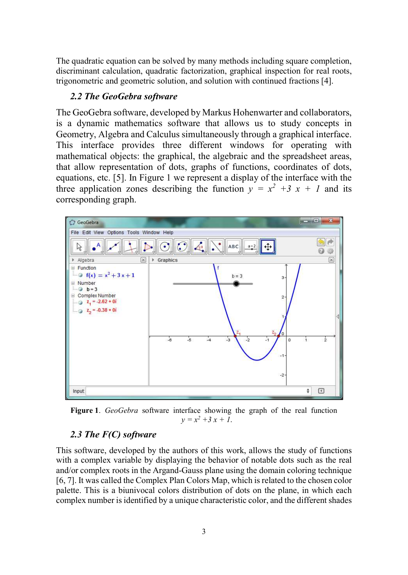The quadratic equation can be solved by many methods including square completion, discriminant calculation, quadratic factorization, graphical inspection for real roots, trigonometric and geometric solution, and solution with continued fractions [4].

# 2.2 The GeoGebra software

The GeoGebra software, developed by Markus Hohenwarter and collaborators, is a dynamic mathematics software that allows us to study concepts in Geometry, Algebra and Calculus simultaneously through a graphical interface. This interface provides three different windows for operating with mathematical objects: the graphical, the algebraic and the spreadsheet areas, that allow representation of dots, graphs of functions, coordinates of dots, equations, etc. [5]. In Figure 1 we represent a display of the interface with the three application zones describing the function  $y = x^2 + 3x + 1$  and its corresponding graph.



Figure 1. GeoGebra software interface showing the graph of the real function  $y = x^2 + 3x + 1.$ 

# 2.3 The F(C) software

This software, developed by the authors of this work, allows the study of functions with a complex variable by displaying the behavior of notable dots such as the real and/or complex roots in the Argand-Gauss plane using the domain coloring technique [6, 7]. It was called the Complex Plan Colors Map, which is related to the chosen color palette. This is a biunivocal colors distribution of dots on the plane, in which each complex number is identified by a unique characteristic color, and the different shades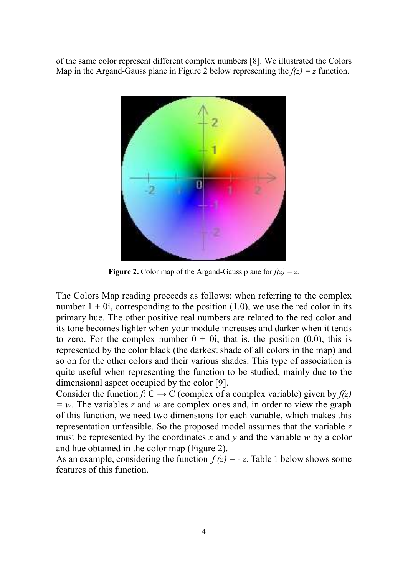of the same color represent different complex numbers [8]. We illustrated the Colors Map in the Argand-Gauss plane in Figure 2 below representing the  $f(z) = z$  function.



Figure 2. Color map of the Argand-Gauss plane for  $f(z) = z$ .

The Colors Map reading proceeds as follows: when referring to the complex number  $1 + 0i$ , corresponding to the position (1.0), we use the red color in its primary hue. The other positive real numbers are related to the red color and its tone becomes lighter when your module increases and darker when it tends to zero. For the complex number  $0 + 0i$ , that is, the position (0.0), this is represented by the color black (the darkest shade of all colors in the map) and so on for the other colors and their various shades. This type of association is quite useful when representing the function to be studied, mainly due to the dimensional aspect occupied by the color [9].

Consider the function f: C  $\rightarrow$  C (complex of a complex variable) given by  $f(z)$  $= w$ . The variables z and w are complex ones and, in order to view the graph of this function, we need two dimensions for each variable, which makes this representation unfeasible. So the proposed model assumes that the variable z must be represented by the coordinates x and y and the variable  $w$  by a color and hue obtained in the color map (Figure 2).

As an example, considering the function  $f(z) = -z$ , Table 1 below shows some features of this function.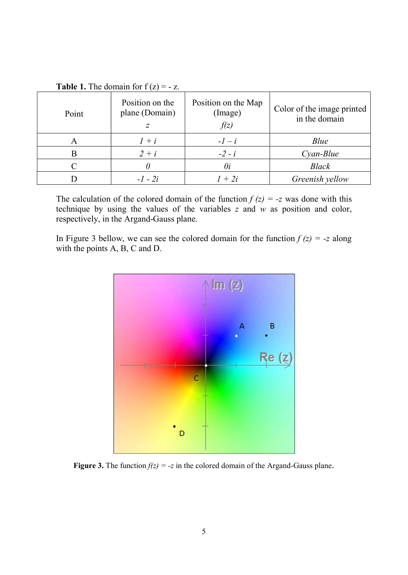| Point | Position on the<br>plane (Domain)<br>Ζ | Position on the Map<br>(Image)<br>f(z) | Color of the image printed<br>in the domain |
|-------|----------------------------------------|----------------------------------------|---------------------------------------------|
| A     | $l + i$                                | $-l-i$                                 | Blue                                        |
| B     | $2+i$                                  | $-2 - i$                               | $Cyan-Blue$                                 |
|       |                                        | 0i                                     | <b>Black</b>                                |
|       | $-1 - 2i$                              | $1+2i$                                 | Greenish yellow                             |

**Table 1.** The domain for  $f(z) = -z$ .

The calculation of the colored domain of the function  $f(z) = -z$  was done with this technique by using the values of the variables  $z$  and  $w$  as position and color, respectively, in the Argand-Gauss plane.

In Figure 3 bellow, we can see the colored domain for the function  $f(z) = -z$  along with the points A, B, C and D.



Figure 3. The function  $f(z) = -z$  in the colored domain of the Argand-Gauss plane.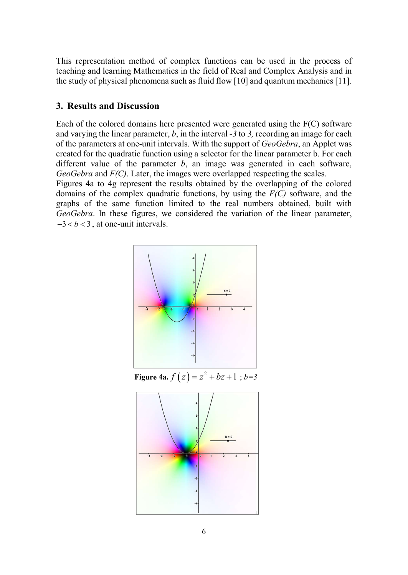This representation method of complex functions can be used in the process of teaching and learning Mathematics in the field of Real and Complex Analysis and in the study of physical phenomena such as fluid flow [10] and quantum mechanics [11].

# 3. Results and Discussion

Each of the colored domains here presented were generated using the F(C) software and varying the linear parameter,  $b$ , in the interval -3 to 3, recording an image for each of the parameters at one-unit intervals. With the support of GeoGebra, an Applet was created for the quadratic function using a selector for the linear parameter b. For each different value of the parameter  $b$ , an image was generated in each software,  $GeoGebra$  and  $F(C)$ . Later, the images were overlapped respecting the scales.

Figures 4a to 4g represent the results obtained by the overlapping of the colored domains of the complex quadratic functions, by using the  $F(C)$  software, and the graphs of the same function limited to the real numbers obtained, built with GeoGebra. In these figures, we considered the variation of the linear parameter,  $-3 < b < 3$ , at one-unit intervals.



**Figure 4a.**  $f(z) = z^2 + bz + 1$ ;  $b=3$ 

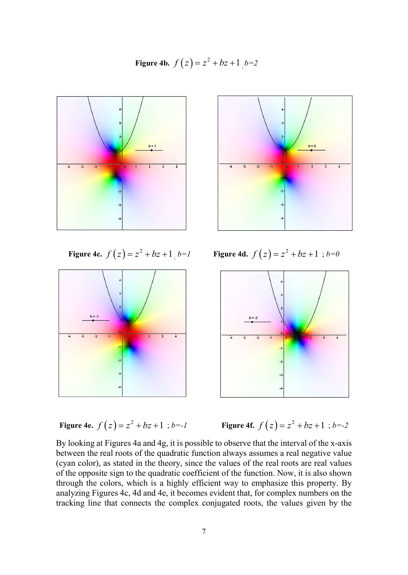**Figure 4b.**  $f(z) = z^2 + bz + 1$ ,  $b=2$ 





Figure 4c.  $f(z) = z^2 + bz + 1$ <sub>;</sub>  $b=1$ 

*b*=*l* Figure 4d.  $f(z) = z^2 + bz + 1$ ; *b*=0



**Figure 4e.** 
$$
f(z) = z^2 + bz + 1
$$
;  $b = -1$ 

$$
f(z) = z2 + bz + 1
$$
;  $b=-1$  Figure 4f.  $f(z) = z2 + bz + 1$ ;  $b=-2$ 

By looking at Figures 4a and 4g, it is possible to observe that the interval of the x-axis between the real roots of the quadratic function always assumes a real negative value (cyan color), as stated in the theory, since the values of the real roots are real values of the opposite sign to the quadratic coefficient of the function. Now, it is also shown through the colors, which is a highly efficient way to emphasize this property. By analyzing Figures 4c, 4d and 4e, it becomes evident that, for complex numbers on the tracking line that connects the complex conjugated roots, the values given by the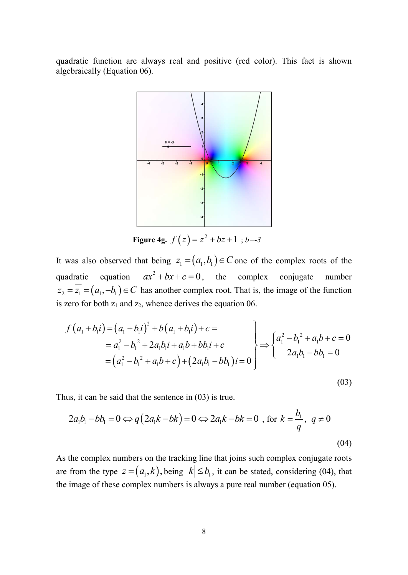quadratic function are always real and positive (red color). This fact is shown algebraically (Equation 06).



Figure 4g.  $f(z) = z^2 + bz + 1$ ; b=-3

It was also observed that being  $z_1 = (a_1, b_1) \in C$  one of the complex roots of the quadratic equation  $ax^2 + bx + c = 0$ , the complex conjugate number  $z_2 = \overline{z_1} = (a_1, -b_1) \in C$  has another complex root. That is, the image of the function is zero for both  $z_1$  and  $z_2$ , whence derives the equation 06.

Figure 4g. 
$$
f(z) = z^2 + bz + 1
$$
;  $b = -3$   
\nwas also observed that being  $z_1 = (a_1, b_1) \in C$  one of the complex roots of the  
\naddratic equation  $ax^2 + bx + c = 0$ , the complex conjugate number  $z_2 = \overline{z_1} = (a_1, -b_1) \in C$  has another complex root. That is, the image of the function  
\nzero for both  $z_1$  and  $z_2$ , whence derives the equation 06.  
\n
$$
f(a_1 + b_1 i) = (a_1 + b_1 i)^2 + b(a_1 + b_1 i) + c = a_1^2 - b_1^2 + 2a_1b_1 i + a_1b + b_1i + c = a_1^2 - b_1^2 + 2a_1b_1 + a_1b + b_1i + c = a_1^2 - b_1^2 + a_1b + c + c = a_1^2 - b_1^2 + a_1b + c + c = a_1^2 - b_1^2 + a_1b + c
$$
\n
$$
= (a_1^2 - b_1^2 + a_1b + c) + (2a_1b_1 - bb_1)i = 0
$$
\n(03)  
\nthus, it can be said that the sentence in (03) is true.

Thus, it can be said that the sentence in (03) is true.

$$
2a_1b_1 - bb_1 = 0 \Leftrightarrow q(2a_1k - bk) = 0 \Leftrightarrow 2a_1k - bk = 0 \text{ , for } k = \frac{b_1}{q}, \ q \neq 0
$$
\n(04)

As the complex numbers on the tracking line that joins such complex conjugate roots are from the type  $z = (a_1, k)$ , being  $|k| \le b_1$ , it can be stated, considering (04), that the image of these complex numbers is always a pure real number (equation 05).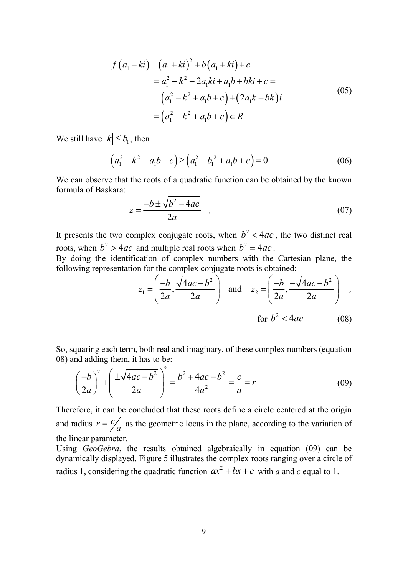$$
f(a_1 + ki) = (a_1 + ki)^2 + b(a_1 + ki) + c =
$$
  
\n
$$
= a_1^2 - k^2 + 2a_1ki + a_1b + bki + c =
$$
  
\n
$$
= (a_1^2 - k^2 + a_1b + c) + (2a_1k - bk)i
$$
  
\n
$$
= (a_1^2 - k^2 + a_1b + c) \in R
$$
  
\n
$$
|\leq b_1 \text{, then}
$$
  
\n
$$
(a_1^2 - k^2 + a_1b + c) \geq (a_1^2 - b_1^2 + a_1b + c) = 0
$$
  
\n(06)

We still have  $|k| \leq b_1$ , then

$$
(a_1^2 - k^2 + a_1 b + c) \ge (a_1^2 - b_1^2 + a_1 b + c) = 0
$$
 (06)

We can observe that the roots of a quadratic function can be obtained by the known formula of Baskara:

$$
z = \frac{-b \pm \sqrt{b^2 - 4ac}}{2a} \quad , \tag{07}
$$

It presents the two complex conjugate roots, when  $b^2 < 4ac$ , the two distinct real roots, when  $b^2 > 4ac$  and multiple real roots when  $b^2 = 4ac$ .

By doing the identification of complex numbers with the Cartesian plane, the following representation for the complex conjugate roots is obtained:

$$
z_{1} = \left(\frac{-b}{2a}, \frac{\sqrt{4ac - b^{2}}}{2a}\right) \text{ and } z_{2} = \left(\frac{-b}{2a}, \frac{-\sqrt{4ac - b^{2}}}{2a}\right) ,
$$
  
for  $b^{2} < 4ac$  (08)

So, squaring each term, both real and imaginary, of these complex numbers (equation 08) and adding them, it has to be:

$$
\left(\frac{-b}{2a}\right)^2 + \left(\frac{\pm\sqrt{4ac - b^2}}{2a}\right)^2 = \frac{b^2 + 4ac - b^2}{4a^2} = \frac{c}{a} = r
$$
 (09)

Therefore, it can be concluded that these roots define a circle centered at the origin and radius  $r = \frac{c}{a}$  as the geometric locus in the plane, according to the variation of the linear parameter.

Using GeoGebra, the results obtained algebraically in equation (09) can be dynamically displayed. Figure 5 illustrates the complex roots ranging over a circle of radius 1, considering the quadratic function  $ax^2 + bx + c$  with a and c equal to 1.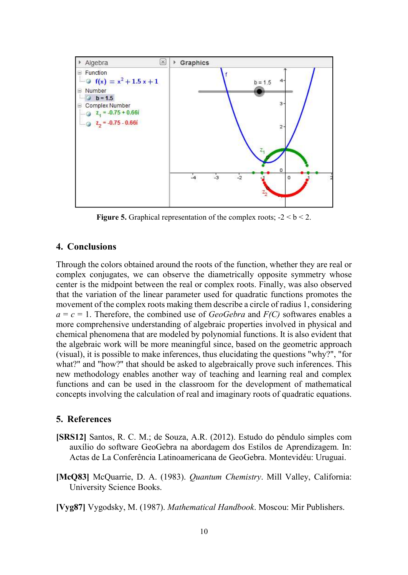

**Figure 5.** Graphical representation of the complex roots;  $-2 < b < 2$ .

# 4. Conclusions

Through the colors obtained around the roots of the function, whether they are real or complex conjugates, we can observe the diametrically opposite symmetry whose center is the midpoint between the real or complex roots. Finally, was also observed that the variation of the linear parameter used for quadratic functions promotes the movement of the complex roots making them describe a circle of radius 1, considering  $a = c = 1$ . Therefore, the combined use of *GeoGebra* and  $F(C)$  softwares enables a more comprehensive understanding of algebraic properties involved in physical and chemical phenomena that are modeled by polynomial functions. It is also evident that the algebraic work will be more meaningful since, based on the geometric approach (visual), it is possible to make inferences, thus elucidating the questions "why?", "for what?" and "how?" that should be asked to algebraically prove such inferences. This new methodology enables another way of teaching and learning real and complex functions and can be used in the classroom for the development of mathematical concepts involving the calculation of real and imaginary roots of quadratic equations.

## 5. References

- [SRS12] Santos, R. C. M.; de Souza, A.R. (2012). Estudo do pêndulo simples com auxílio do software GeoGebra na abordagem dos Estilos de Aprendizagem. In: Actas de La Conferência Latinoamericana de GeoGebra. Montevidéu: Uruguai.
- [McQ83] McQuarrie, D. A. (1983). Quantum Chemistry. Mill Valley, California: University Science Books.
- [Vyg87] Vygodsky, M. (1987). Mathematical Handbook. Moscou: Mir Publishers.